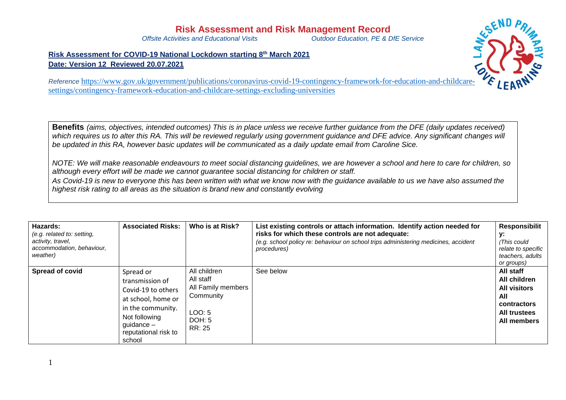## **Risk Assessment and Risk Management Record**<br>Offsite Activities and Educational Visits<br>Outdoor Education. PE & L

*Offsite Activities and Educational Visits Outdoor Education, PE & DfE Service*

**Risk Assessment for COVID-19 National Lockdown starting 8 th March 2021 Date: Version 12 Reviewed 20.07.2021**



*Reference* [https://www.gov.uk/government/publications/coronavirus-covid-19-contingency-framework-for-education-and-childcare](https://www.gov.uk/government/publications/coronavirus-covid-19-contingency-framework-for-education-and-childcare-settings/contingency-framework-education-and-childcare-settings-excluding-universities)[settings/contingency-framework-education-and-childcare-settings-excluding-universities](https://www.gov.uk/government/publications/coronavirus-covid-19-contingency-framework-for-education-and-childcare-settings/contingency-framework-education-and-childcare-settings-excluding-universities)

**Benefits** *(aims, objectives, intended outcomes) This is in place unless we receive further guidance from the DFE (daily updates received)* which requires us to alter this RA. This will be reviewed reqularly using government quidance and DFE advice. Any significant *changes will be updated in this RA, however basic updates will be communicated as a daily update email from Caroline Sice.* 

*NOTE: We will make reasonable endeavours to meet social distancing guidelines, we are however a school and here to care for children, so although every effort will be made we cannot guarantee social distancing for children or staff.*

*As Covid-19 is new to everyone this has been written with what we know now with the guidance available to us we have also assumed the highest risk rating to all areas as the situation is brand new and constantly evolving* 

| Hazards:<br>(e.g. related to: setting,<br>activity, travel,<br>accommodation, behaviour,<br>weather) | <b>Associated Risks:</b>                                                                                                                                         | Who is at Risk?                                                                            | List existing controls or attach information. Identify action needed for<br>risks for which these controls are not adequate:<br>(e.g. school policy re: behaviour on school trips administering medicines, accident<br>procedures) | <b>Responsibilit</b><br>у.<br>(This could<br>relate to specific<br>teachers, adults<br>or groups)            |
|------------------------------------------------------------------------------------------------------|------------------------------------------------------------------------------------------------------------------------------------------------------------------|--------------------------------------------------------------------------------------------|------------------------------------------------------------------------------------------------------------------------------------------------------------------------------------------------------------------------------------|--------------------------------------------------------------------------------------------------------------|
| Spread of covid                                                                                      | Spread or<br>transmission of<br>Covid-19 to others<br>at school, home or<br>in the community.<br>Not following<br>guidance $-$<br>reputational risk to<br>school | All children<br>All staff<br>All Family members<br>Community<br>LOO: 5<br>DOH: 5<br>RR: 25 | See below                                                                                                                                                                                                                          | All staff<br>All children<br><b>All visitors</b><br>All<br>contractors<br><b>All trustees</b><br>All members |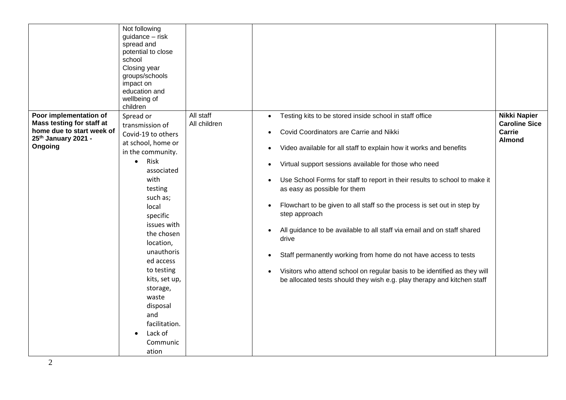|                                                                                                                                | Not following<br>guidance - risk<br>spread and<br>potential to close<br>school<br>Closing year<br>groups/schools<br>impact on<br>education and<br>wellbeing of<br>children                                                                                                                                                                                                        |                           |                                                                                                                                                                                                                                                                                                                                                                                                                                                                                                                                                                                                                                                                                                                                                                                                                                                       |                                                                        |
|--------------------------------------------------------------------------------------------------------------------------------|-----------------------------------------------------------------------------------------------------------------------------------------------------------------------------------------------------------------------------------------------------------------------------------------------------------------------------------------------------------------------------------|---------------------------|-------------------------------------------------------------------------------------------------------------------------------------------------------------------------------------------------------------------------------------------------------------------------------------------------------------------------------------------------------------------------------------------------------------------------------------------------------------------------------------------------------------------------------------------------------------------------------------------------------------------------------------------------------------------------------------------------------------------------------------------------------------------------------------------------------------------------------------------------------|------------------------------------------------------------------------|
| Poor implementation of<br>Mass testing for staff at<br>home due to start week of<br>25 <sup>th</sup> January 2021 -<br>Ongoing | Spread or<br>transmission of<br>Covid-19 to others<br>at school, home or<br>in the community.<br>Risk<br>$\bullet$<br>associated<br>with<br>testing<br>such as;<br>local<br>specific<br>issues with<br>the chosen<br>location,<br>unauthoris<br>ed access<br>to testing<br>kits, set up,<br>storage,<br>waste<br>disposal<br>and<br>facilitation.<br>Lack of<br>Communic<br>ation | All staff<br>All children | Testing kits to be stored inside school in staff office<br>$\bullet$<br>Covid Coordinators are Carrie and Nikki<br>$\bullet$<br>Video available for all staff to explain how it works and benefits<br>Virtual support sessions available for those who need<br>Use School Forms for staff to report in their results to school to make it<br>$\bullet$<br>as easy as possible for them<br>Flowchart to be given to all staff so the process is set out in step by<br>$\bullet$<br>step approach<br>All guidance to be available to all staff via email and on staff shared<br>$\bullet$<br>drive<br>Staff permanently working from home do not have access to tests<br>$\bullet$<br>Visitors who attend school on regular basis to be identified as they will<br>$\bullet$<br>be allocated tests should they wish e.g. play therapy and kitchen staff | <b>Nikki Napier</b><br><b>Caroline Sice</b><br>Carrie<br><b>Almond</b> |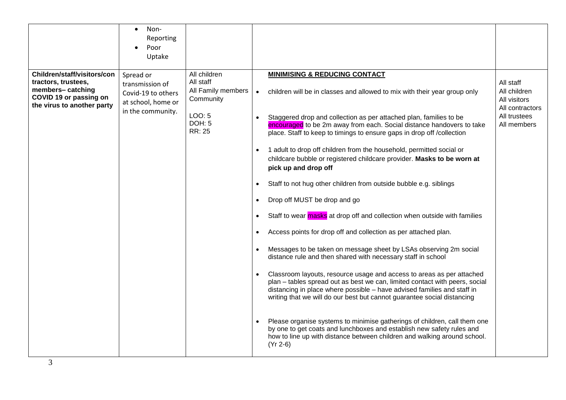|                                                                                                                                | Non-<br>$\bullet$<br>Reporting<br>Poor<br>Uptake                                              |                                                                                                   |                                                                                                                                                                                                                                                                                                                                                                                                                                                                                                                                                                                                                                                                                                                                                                                                                                                                                                                                                                                                                                                                                                                                                                                                                                                                                                                                                                                                                                                                                                            |                                                                                             |
|--------------------------------------------------------------------------------------------------------------------------------|-----------------------------------------------------------------------------------------------|---------------------------------------------------------------------------------------------------|------------------------------------------------------------------------------------------------------------------------------------------------------------------------------------------------------------------------------------------------------------------------------------------------------------------------------------------------------------------------------------------------------------------------------------------------------------------------------------------------------------------------------------------------------------------------------------------------------------------------------------------------------------------------------------------------------------------------------------------------------------------------------------------------------------------------------------------------------------------------------------------------------------------------------------------------------------------------------------------------------------------------------------------------------------------------------------------------------------------------------------------------------------------------------------------------------------------------------------------------------------------------------------------------------------------------------------------------------------------------------------------------------------------------------------------------------------------------------------------------------------|---------------------------------------------------------------------------------------------|
| Children/staff/visitors/con<br>tractors, trustees,<br>members-catching<br>COVID 19 or passing on<br>the virus to another party | Spread or<br>transmission of<br>Covid-19 to others<br>at school, home or<br>in the community. | All children<br>All staff<br>All Family members<br>Community<br>LOO: 5<br><b>DOH: 5</b><br>RR: 25 | <b>MINIMISING &amp; REDUCING CONTACT</b><br>children will be in classes and allowed to mix with their year group only<br>$\bullet$<br>Staggered drop and collection as per attached plan, families to be<br>encouraged to be 2m away from each. Social distance handovers to take<br>place. Staff to keep to timings to ensure gaps in drop off /collection<br>1 adult to drop off children from the household, permitted social or<br>childcare bubble or registered childcare provider. Masks to be worn at<br>pick up and drop off<br>Staff to not hug other children from outside bubble e.g. siblings<br>Drop off MUST be drop and go<br>$\bullet$<br>Staff to wear masks at drop off and collection when outside with families<br>Access points for drop off and collection as per attached plan.<br>Messages to be taken on message sheet by LSAs observing 2m social<br>distance rule and then shared with necessary staff in school<br>Classroom layouts, resource usage and access to areas as per attached<br>plan - tables spread out as best we can, limited contact with peers, social<br>distancing in place where possible - have advised families and staff in<br>writing that we will do our best but cannot guarantee social distancing<br>Please organise systems to minimise gatherings of children, call them one<br>by one to get coats and lunchboxes and establish new safety rules and<br>how to line up with distance between children and walking around school.<br>$(Yr 2-6)$ | All staff<br>All children<br>All visitors<br>All contractors<br>All trustees<br>All members |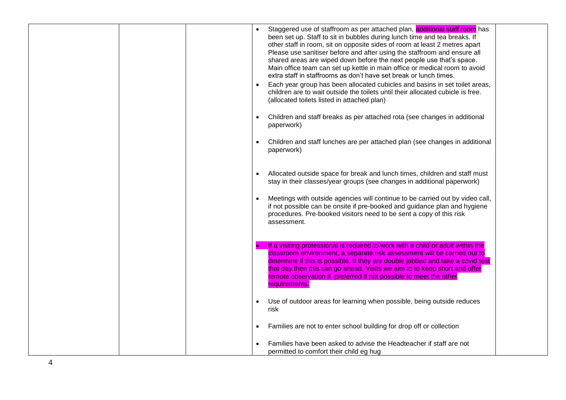| Staggered use of staffroom as per attached plan, additional staff room has<br>been set up. Staff to sit in bubbles during lunch time and tea breaks. If<br>other staff in room, sit on opposite sides of room at least 2 metres apart<br>Please use sanitiser before and after using the staffroom and ensure all<br>shared areas are wiped down before the next people use that's space.<br>Main office team can set up kettle in main office or medical room to avoid<br>extra staff in staffrooms as don't have set break or lunch times.<br>Each year group has been allocated cubicles and basins in set toilet areas,<br>children are to wait outside the toilets until their allocated cubicle is free.<br>(allocated toilets listed in attached plan)<br>Children and staff breaks as per attached rota (see changes in additional<br>paperwork)<br>Children and staff lunches are per attached plan (see changes in additional<br>paperwork)<br>Allocated outside space for break and lunch times, children and staff must<br>stay in their classes/year groups (see changes in additional paperwork)<br>Meetings with outside agencies will continue to be carried out by video call,<br>if not possible can be onsite if pre-booked and guidance plan and hygiene<br>procedures. Pre-booked visitors need to be sent a copy of this risk<br>assessment. |  |
|--------------------------------------------------------------------------------------------------------------------------------------------------------------------------------------------------------------------------------------------------------------------------------------------------------------------------------------------------------------------------------------------------------------------------------------------------------------------------------------------------------------------------------------------------------------------------------------------------------------------------------------------------------------------------------------------------------------------------------------------------------------------------------------------------------------------------------------------------------------------------------------------------------------------------------------------------------------------------------------------------------------------------------------------------------------------------------------------------------------------------------------------------------------------------------------------------------------------------------------------------------------------------------------------------------------------------------------------------------------------|--|
| If a visiting professional is required to work with a child or adult within the<br>classroom environment, a separate risk assessment will be carried out to<br>determine if this is possible. If they are double jabbed and take a covid test<br>that day then this can go ahead. Visits we aim to to keep short and offer<br>remote observation if preferred if not possible to meet the other<br>requirements.<br>Use of outdoor areas for learning when possible, being outside reduces<br>risk<br>Families are not to enter school building for drop off or collection<br>Families have been asked to advise the Headteacher if staff are not                                                                                                                                                                                                                                                                                                                                                                                                                                                                                                                                                                                                                                                                                                                  |  |
| permitted to comfort their child eg hug                                                                                                                                                                                                                                                                                                                                                                                                                                                                                                                                                                                                                                                                                                                                                                                                                                                                                                                                                                                                                                                                                                                                                                                                                                                                                                                            |  |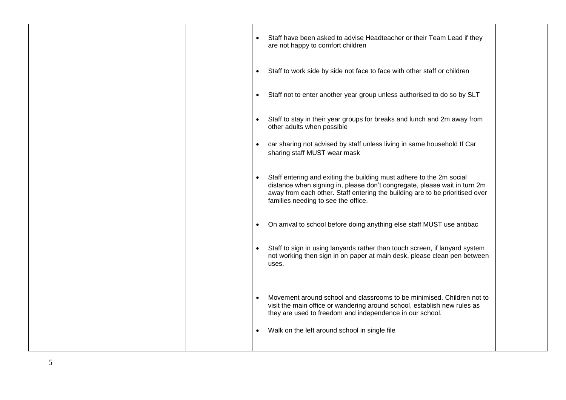|  | Staff have been asked to advise Headteacher or their Team Lead if they<br>are not happy to comfort children                                                                                                                                                                  |
|--|------------------------------------------------------------------------------------------------------------------------------------------------------------------------------------------------------------------------------------------------------------------------------|
|  | Staff to work side by side not face to face with other staff or children<br>$\bullet$                                                                                                                                                                                        |
|  | Staff not to enter another year group unless authorised to do so by SLT<br>$\bullet$                                                                                                                                                                                         |
|  | Staff to stay in their year groups for breaks and lunch and 2m away from<br>other adults when possible                                                                                                                                                                       |
|  | car sharing not advised by staff unless living in same household If Car<br>$\bullet$<br>sharing staff MUST wear mask                                                                                                                                                         |
|  | Staff entering and exiting the building must adhere to the 2m social<br>distance when signing in, please don't congregate, please wait in turn 2m<br>away from each other. Staff entering the building are to be prioritised over<br>families needing to see the office.     |
|  | On arrival to school before doing anything else staff MUST use antibac<br>$\bullet$                                                                                                                                                                                          |
|  | Staff to sign in using lanyards rather than touch screen, if lanyard system<br>not working then sign in on paper at main desk, please clean pen between<br>uses.                                                                                                             |
|  | Movement around school and classrooms to be minimised. Children not to<br>visit the main office or wandering around school, establish new rules as<br>they are used to freedom and independence in our school.<br>Walk on the left around school in single file<br>$\bullet$ |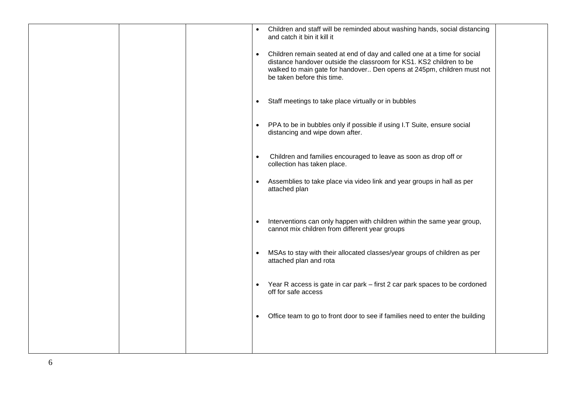|  | Children and staff will be reminded about washing hands, social distancing<br>and catch it bin it kill it                                                                                                                                                            |
|--|----------------------------------------------------------------------------------------------------------------------------------------------------------------------------------------------------------------------------------------------------------------------|
|  | Children remain seated at end of day and called one at a time for social<br>$\bullet$<br>distance handover outside the classroom for KS1. KS2 children to be<br>walked to main gate for handover Den opens at 245pm, children must not<br>be taken before this time. |
|  | Staff meetings to take place virtually or in bubbles                                                                                                                                                                                                                 |
|  | PPA to be in bubbles only if possible if using I.T Suite, ensure social<br>$\bullet$<br>distancing and wipe down after.                                                                                                                                              |
|  | Children and families encouraged to leave as soon as drop off or<br>collection has taken place.                                                                                                                                                                      |
|  | Assemblies to take place via video link and year groups in hall as per<br>attached plan                                                                                                                                                                              |
|  | Interventions can only happen with children within the same year group,<br>cannot mix children from different year groups                                                                                                                                            |
|  | MSAs to stay with their allocated classes/year groups of children as per<br>attached plan and rota                                                                                                                                                                   |
|  | Year R access is gate in car park – first 2 car park spaces to be cordoned<br>$\bullet$<br>off for safe access                                                                                                                                                       |
|  | Office team to go to front door to see if families need to enter the building<br>$\bullet$                                                                                                                                                                           |
|  |                                                                                                                                                                                                                                                                      |

6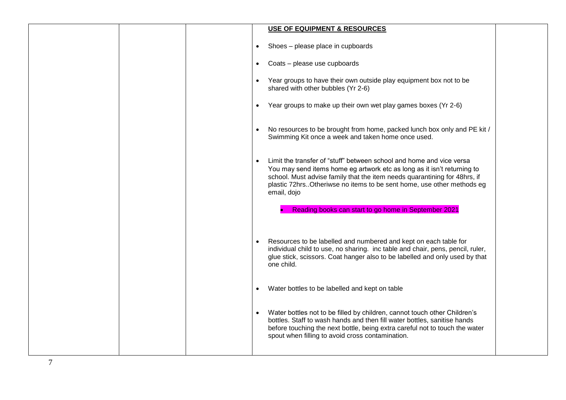|                | <b>USE OF EQUIPMENT &amp; RESOURCES</b>                                                                                                                                                                                                                                                                                             |
|----------------|-------------------------------------------------------------------------------------------------------------------------------------------------------------------------------------------------------------------------------------------------------------------------------------------------------------------------------------|
|                | Shoes - please place in cupboards<br>$\bullet$                                                                                                                                                                                                                                                                                      |
|                | Coats - please use cupboards<br>$\bullet$                                                                                                                                                                                                                                                                                           |
|                | Year groups to have their own outside play equipment box not to be<br>$\bullet$<br>shared with other bubbles (Yr 2-6)                                                                                                                                                                                                               |
|                | Year groups to make up their own wet play games boxes (Yr 2-6)<br>$\bullet$                                                                                                                                                                                                                                                         |
|                | No resources to be brought from home, packed lunch box only and PE kit /<br>$\bullet$<br>Swimming Kit once a week and taken home once used.                                                                                                                                                                                         |
|                | Limit the transfer of "stuff" between school and home and vice versa<br>$\bullet$<br>You may send items home eg artwork etc as long as it isn't returning to<br>school. Must advise family that the item needs quarantining for 48hrs, if<br>plastic 72hrs. Otheriwse no items to be sent home, use other methods eg<br>email, dojo |
|                | Reading books can start to go home in September 2021                                                                                                                                                                                                                                                                                |
|                | Resources to be labelled and numbered and kept on each table for<br>$\bullet$<br>individual child to use, no sharing. inc table and chair, pens, pencil, ruler,<br>glue stick, scissors. Coat hanger also to be labelled and only used by that<br>one child.                                                                        |
|                | Water bottles to be labelled and kept on table<br>$\bullet$                                                                                                                                                                                                                                                                         |
|                | Water bottles not to be filled by children, cannot touch other Children's<br>$\bullet$<br>bottles. Staff to wash hands and then fill water bottles, sanitise hands<br>before touching the next bottle, being extra careful not to touch the water<br>spout when filling to avoid cross contamination.                               |
| $\overline{7}$ |                                                                                                                                                                                                                                                                                                                                     |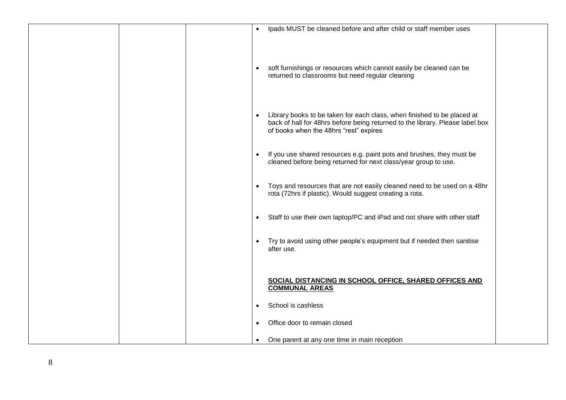|  | Ipads MUST be cleaned before and after child or staff member uses                                                                                                                                |
|--|--------------------------------------------------------------------------------------------------------------------------------------------------------------------------------------------------|
|  | soft furnishings or resources which cannot easily be cleaned can be<br>$\bullet$<br>returned to classrooms but need regular cleaning                                                             |
|  | Library books to be taken for each class, when finished to be placed at                                                                                                                          |
|  | back of hall for 48hrs before being returned to the library. Please label box<br>of books when the 48hrs "rest" expires<br>If you use shared resources e.g. paint pots and brushes, they must be |
|  | cleaned before being returned for next class/year group to use.<br>Toys and resources that are not easily cleaned need to be used on a 48hr                                                      |
|  | rota (72hrs if plastic). Would suggest creating a rota.<br>Staff to use their own laptop/PC and iPad and not share with other staff<br>$\bullet$                                                 |
|  | Try to avoid using other people's equipment but if needed then sanitise<br>after use.                                                                                                            |
|  | SOCIAL DISTANCING IN SCHOOL OFFICE, SHARED OFFICES AND<br><b>COMMUNAL AREAS</b><br>School is cashless<br>$\bullet$                                                                               |
|  | Office door to remain closed<br>$\bullet$<br>$\bullet$                                                                                                                                           |
|  | One parent at any one time in main reception                                                                                                                                                     |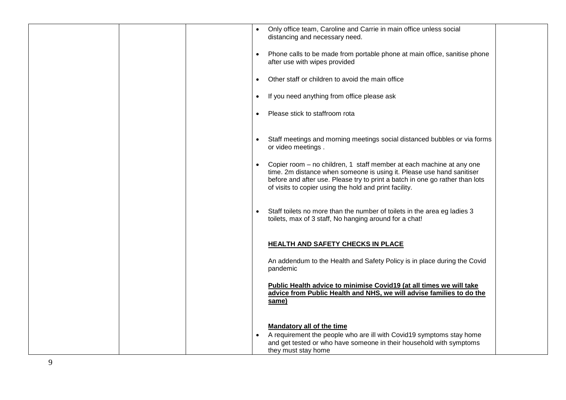| Only office team, Caroline and Carrie in main office unless social<br>distancing and necessary need.                                                                                                                                                                                    |
|-----------------------------------------------------------------------------------------------------------------------------------------------------------------------------------------------------------------------------------------------------------------------------------------|
| Phone calls to be made from portable phone at main office, sanitise phone<br>after use with wipes provided                                                                                                                                                                              |
| Other staff or children to avoid the main office                                                                                                                                                                                                                                        |
| If you need anything from office please ask<br>$\bullet$                                                                                                                                                                                                                                |
| Please stick to staffroom rota                                                                                                                                                                                                                                                          |
| Staff meetings and morning meetings social distanced bubbles or via forms<br>or video meetings.                                                                                                                                                                                         |
| Copier room – no children, 1 staff member at each machine at any one<br>time. 2m distance when someone is using it. Please use hand sanitiser<br>before and after use. Please try to print a batch in one go rather than lots<br>of visits to copier using the hold and print facility. |
| Staff toilets no more than the number of toilets in the area eg ladies 3<br>toilets, max of 3 staff, No hanging around for a chat!                                                                                                                                                      |
| <b>HEALTH AND SAFETY CHECKS IN PLACE</b>                                                                                                                                                                                                                                                |
| An addendum to the Health and Safety Policy is in place during the Covid<br>pandemic                                                                                                                                                                                                    |
| Public Health advice to minimise Covid19 (at all times we will take<br>advice from Public Health and NHS, we will advise families to do the                                                                                                                                             |
| same)                                                                                                                                                                                                                                                                                   |
| <b>Mandatory all of the time</b><br>A requirement the people who are ill with Covid19 symptoms stay home<br>and get tested or who have someone in their household with symptoms<br>they must stay home                                                                                  |
|                                                                                                                                                                                                                                                                                         |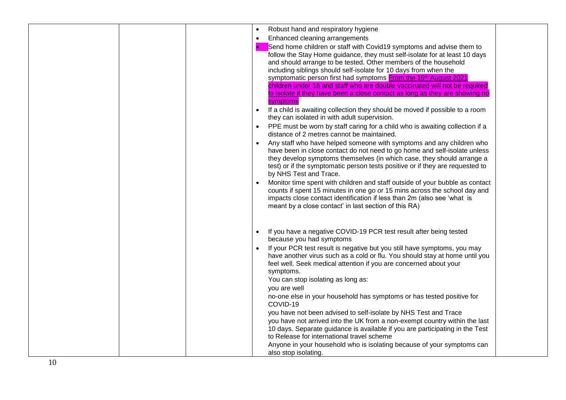|  |  | Robust hand and respiratory hygiene                                           |  |
|--|--|-------------------------------------------------------------------------------|--|
|  |  | Enhanced cleaning arrangements                                                |  |
|  |  |                                                                               |  |
|  |  | Send home children or staff with Covid19 symptoms and advise them to          |  |
|  |  | follow the Stay Home guidance, they must self-isolate for at least 10 days    |  |
|  |  | and should arrange to be tested. Other members of the household               |  |
|  |  | including siblings should self-isolate for 10 days from when the              |  |
|  |  | symptomatic person first had symptoms From the 16th August 2021               |  |
|  |  | children under 18 and staff who are double vaccinated will not be required    |  |
|  |  | to isolate if they have been a close contact as long as they are showing no   |  |
|  |  | symptoms                                                                      |  |
|  |  | If a child is awaiting collection they should be moved if possible to a room  |  |
|  |  | they can isolated in with adult supervision.                                  |  |
|  |  | PPE must be worn by staff caring for a child who is awaiting collection if a  |  |
|  |  | distance of 2 metres cannot be maintained.                                    |  |
|  |  | Any staff who have helped someone with symptoms and any children who          |  |
|  |  | have been in close contact do not need to go home and self-isolate unless     |  |
|  |  | they develop symptoms themselves (in which case, they should arrange a        |  |
|  |  | test) or if the symptomatic person tests positive or if they are requested to |  |
|  |  | by NHS Test and Trace.                                                        |  |
|  |  | Monitor time spent with children and staff outside of your bubble as contact  |  |
|  |  | counts if spent 15 minutes in one go or 15 mins across the school day and     |  |
|  |  | impacts close contact identification if less than 2m (also see 'what is       |  |
|  |  | meant by a close contact' in last section of this RA)                         |  |
|  |  |                                                                               |  |
|  |  |                                                                               |  |
|  |  | If you have a negative COVID-19 PCR test result after being tested            |  |
|  |  | because you had symptoms                                                      |  |
|  |  |                                                                               |  |
|  |  | If your PCR test result is negative but you still have symptoms, you may      |  |
|  |  | have another virus such as a cold or flu. You should stay at home until you   |  |
|  |  | feel well. Seek medical attention if you are concerned about your             |  |
|  |  | symptoms.                                                                     |  |
|  |  | You can stop isolating as long as:                                            |  |
|  |  | you are well                                                                  |  |
|  |  | no-one else in your household has symptoms or has tested positive for         |  |
|  |  | COVID-19                                                                      |  |
|  |  | you have not been advised to self-isolate by NHS Test and Trace               |  |
|  |  | you have not arrived into the UK from a non-exempt country within the last    |  |
|  |  | 10 days. Separate guidance is available if you are participating in the Test  |  |
|  |  | to Release for international travel scheme                                    |  |
|  |  | Anyone in your household who is isolating because of your symptoms can        |  |
|  |  | also stop isolating.                                                          |  |
|  |  |                                                                               |  |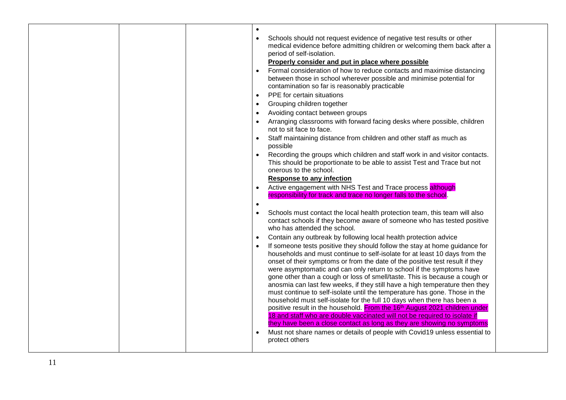| Schools should not request evidence of negative test results or other<br>medical evidence before admitting children or welcoming them back after a<br>period of self-isolation.<br>Properly consider and put in place where possible<br>Formal consideration of how to reduce contacts and maximise distancing<br>between those in school wherever possible and minimise potential for<br>contamination so far is reasonably practicable<br>PPE for certain situations<br>$\bullet$<br>Grouping children together<br>$\bullet$<br>Avoiding contact between groups<br>Arranging classrooms with forward facing desks where possible, children<br>not to sit face to face.<br>Staff maintaining distance from children and other staff as much as<br>possible<br>Recording the groups which children and staff work in and visitor contacts.<br>This should be proportionate to be able to assist Test and Trace but not<br>onerous to the school.<br><b>Response to any infection</b><br>Active engagement with NHS Test and Trace process although<br>responsibility for track and trace no longer falls to the school.<br>Schools must contact the local health protection team, this team will also<br>contact schools if they become aware of someone who has tested positive<br>who has attended the school.<br>Contain any outbreak by following local health protection advice<br>If someone tests positive they should follow the stay at home guidance for<br>households and must continue to self-isolate for at least 10 days from the<br>onset of their symptoms or from the date of the positive test result if they<br>were asymptomatic and can only return to school if the symptoms have<br>gone other than a cough or loss of smell/taste. This is because a cough or<br>anosmia can last few weeks, if they still have a high temperature then they<br>must continue to self-isolate until the temperature has gone. Those in the<br>household must self-isolate for the full 10 days when there has been a<br>positive result in the household. From the 16th August 2021 children under<br>18 and staff who are double vaccinated will not be required to isolate if<br>they have been a close contact as long as they are showing no symptoms<br>Must not share names or details of people with Covid19 unless essential to<br>protect others |  |  |
|--------------------------------------------------------------------------------------------------------------------------------------------------------------------------------------------------------------------------------------------------------------------------------------------------------------------------------------------------------------------------------------------------------------------------------------------------------------------------------------------------------------------------------------------------------------------------------------------------------------------------------------------------------------------------------------------------------------------------------------------------------------------------------------------------------------------------------------------------------------------------------------------------------------------------------------------------------------------------------------------------------------------------------------------------------------------------------------------------------------------------------------------------------------------------------------------------------------------------------------------------------------------------------------------------------------------------------------------------------------------------------------------------------------------------------------------------------------------------------------------------------------------------------------------------------------------------------------------------------------------------------------------------------------------------------------------------------------------------------------------------------------------------------------------------------------------------------------------------------------------------------------------------------------------------------------------------------------------------------------------------------------------------------------------------------------------------------------------------------------------------------------------------------------------------------------------------------------------------------------------------------------------------------------------------------------------------------------------------------------------|--|--|
|                                                                                                                                                                                                                                                                                                                                                                                                                                                                                                                                                                                                                                                                                                                                                                                                                                                                                                                                                                                                                                                                                                                                                                                                                                                                                                                                                                                                                                                                                                                                                                                                                                                                                                                                                                                                                                                                                                                                                                                                                                                                                                                                                                                                                                                                                                                                                                    |  |  |
|                                                                                                                                                                                                                                                                                                                                                                                                                                                                                                                                                                                                                                                                                                                                                                                                                                                                                                                                                                                                                                                                                                                                                                                                                                                                                                                                                                                                                                                                                                                                                                                                                                                                                                                                                                                                                                                                                                                                                                                                                                                                                                                                                                                                                                                                                                                                                                    |  |  |
|                                                                                                                                                                                                                                                                                                                                                                                                                                                                                                                                                                                                                                                                                                                                                                                                                                                                                                                                                                                                                                                                                                                                                                                                                                                                                                                                                                                                                                                                                                                                                                                                                                                                                                                                                                                                                                                                                                                                                                                                                                                                                                                                                                                                                                                                                                                                                                    |  |  |
|                                                                                                                                                                                                                                                                                                                                                                                                                                                                                                                                                                                                                                                                                                                                                                                                                                                                                                                                                                                                                                                                                                                                                                                                                                                                                                                                                                                                                                                                                                                                                                                                                                                                                                                                                                                                                                                                                                                                                                                                                                                                                                                                                                                                                                                                                                                                                                    |  |  |
|                                                                                                                                                                                                                                                                                                                                                                                                                                                                                                                                                                                                                                                                                                                                                                                                                                                                                                                                                                                                                                                                                                                                                                                                                                                                                                                                                                                                                                                                                                                                                                                                                                                                                                                                                                                                                                                                                                                                                                                                                                                                                                                                                                                                                                                                                                                                                                    |  |  |
|                                                                                                                                                                                                                                                                                                                                                                                                                                                                                                                                                                                                                                                                                                                                                                                                                                                                                                                                                                                                                                                                                                                                                                                                                                                                                                                                                                                                                                                                                                                                                                                                                                                                                                                                                                                                                                                                                                                                                                                                                                                                                                                                                                                                                                                                                                                                                                    |  |  |
|                                                                                                                                                                                                                                                                                                                                                                                                                                                                                                                                                                                                                                                                                                                                                                                                                                                                                                                                                                                                                                                                                                                                                                                                                                                                                                                                                                                                                                                                                                                                                                                                                                                                                                                                                                                                                                                                                                                                                                                                                                                                                                                                                                                                                                                                                                                                                                    |  |  |
|                                                                                                                                                                                                                                                                                                                                                                                                                                                                                                                                                                                                                                                                                                                                                                                                                                                                                                                                                                                                                                                                                                                                                                                                                                                                                                                                                                                                                                                                                                                                                                                                                                                                                                                                                                                                                                                                                                                                                                                                                                                                                                                                                                                                                                                                                                                                                                    |  |  |
|                                                                                                                                                                                                                                                                                                                                                                                                                                                                                                                                                                                                                                                                                                                                                                                                                                                                                                                                                                                                                                                                                                                                                                                                                                                                                                                                                                                                                                                                                                                                                                                                                                                                                                                                                                                                                                                                                                                                                                                                                                                                                                                                                                                                                                                                                                                                                                    |  |  |
|                                                                                                                                                                                                                                                                                                                                                                                                                                                                                                                                                                                                                                                                                                                                                                                                                                                                                                                                                                                                                                                                                                                                                                                                                                                                                                                                                                                                                                                                                                                                                                                                                                                                                                                                                                                                                                                                                                                                                                                                                                                                                                                                                                                                                                                                                                                                                                    |  |  |
|                                                                                                                                                                                                                                                                                                                                                                                                                                                                                                                                                                                                                                                                                                                                                                                                                                                                                                                                                                                                                                                                                                                                                                                                                                                                                                                                                                                                                                                                                                                                                                                                                                                                                                                                                                                                                                                                                                                                                                                                                                                                                                                                                                                                                                                                                                                                                                    |  |  |
|                                                                                                                                                                                                                                                                                                                                                                                                                                                                                                                                                                                                                                                                                                                                                                                                                                                                                                                                                                                                                                                                                                                                                                                                                                                                                                                                                                                                                                                                                                                                                                                                                                                                                                                                                                                                                                                                                                                                                                                                                                                                                                                                                                                                                                                                                                                                                                    |  |  |
|                                                                                                                                                                                                                                                                                                                                                                                                                                                                                                                                                                                                                                                                                                                                                                                                                                                                                                                                                                                                                                                                                                                                                                                                                                                                                                                                                                                                                                                                                                                                                                                                                                                                                                                                                                                                                                                                                                                                                                                                                                                                                                                                                                                                                                                                                                                                                                    |  |  |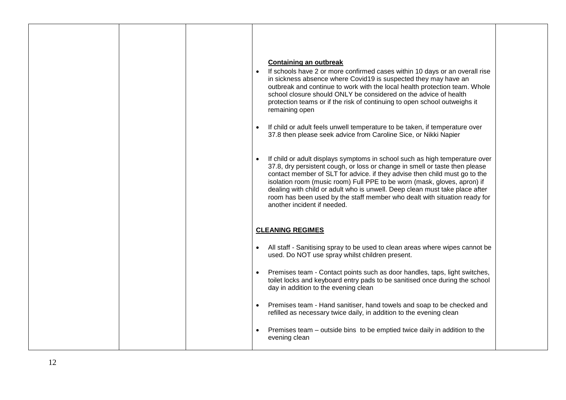|  | <b>Containing an outbreak</b><br>If schools have 2 or more confirmed cases within 10 days or an overall rise<br>in sickness absence where Covid19 is suspected they may have an<br>outbreak and continue to work with the local health protection team. Whole<br>school closure should ONLY be considered on the advice of health<br>protection teams or if the risk of continuing to open school outweighs it<br>remaining open<br>If child or adult feels unwell temperature to be taken, if temperature over<br>37.8 then please seek advice from Caroline Sice, or Nikki Napier<br>If child or adult displays symptoms in school such as high temperature over<br>37.8, dry persistent cough, or loss or change in smell or taste then please<br>contact member of SLT for advice. if they advise then child must go to the |  |
|--|---------------------------------------------------------------------------------------------------------------------------------------------------------------------------------------------------------------------------------------------------------------------------------------------------------------------------------------------------------------------------------------------------------------------------------------------------------------------------------------------------------------------------------------------------------------------------------------------------------------------------------------------------------------------------------------------------------------------------------------------------------------------------------------------------------------------------------|--|
|  | isolation room (music room) Full PPE to be worn (mask, gloves, apron) if<br>dealing with child or adult who is unwell. Deep clean must take place after<br>room has been used by the staff member who dealt with situation ready for<br>another incident if needed.                                                                                                                                                                                                                                                                                                                                                                                                                                                                                                                                                             |  |
|  | <b>CLEANING REGIMES</b><br>All staff - Sanitising spray to be used to clean areas where wipes cannot be<br>$\bullet$<br>used. Do NOT use spray whilst children present.                                                                                                                                                                                                                                                                                                                                                                                                                                                                                                                                                                                                                                                         |  |
|  | Premises team - Contact points such as door handles, taps, light switches,<br>toilet locks and keyboard entry pads to be sanitised once during the school<br>day in addition to the evening clean                                                                                                                                                                                                                                                                                                                                                                                                                                                                                                                                                                                                                               |  |
|  | Premises team - Hand sanitiser, hand towels and soap to be checked and<br>refilled as necessary twice daily, in addition to the evening clean                                                                                                                                                                                                                                                                                                                                                                                                                                                                                                                                                                                                                                                                                   |  |
|  | Premises team – outside bins to be emptied twice daily in addition to the<br>evening clean                                                                                                                                                                                                                                                                                                                                                                                                                                                                                                                                                                                                                                                                                                                                      |  |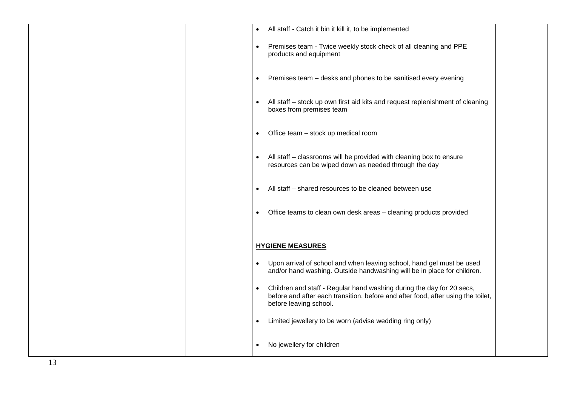| All staff - Catch it bin it kill it, to be implemented                                                                                                                              |
|-------------------------------------------------------------------------------------------------------------------------------------------------------------------------------------|
| Premises team - Twice weekly stock check of all cleaning and PPE<br>$\bullet$<br>products and equipment                                                                             |
| Premises team - desks and phones to be sanitised every evening<br>$\bullet$                                                                                                         |
| All staff - stock up own first aid kits and request replenishment of cleaning<br>boxes from premises team                                                                           |
| Office team - stock up medical room<br>$\bullet$                                                                                                                                    |
| All staff – classrooms will be provided with cleaning box to ensure<br>resources can be wiped down as needed through the day                                                        |
| All staff – shared resources to be cleaned between use<br>$\bullet$                                                                                                                 |
| Office teams to clean own desk areas - cleaning products provided<br>٠                                                                                                              |
| <b>HYGIENE MEASURES</b>                                                                                                                                                             |
| Upon arrival of school and when leaving school, hand gel must be used<br>$\bullet$<br>and/or hand washing. Outside handwashing will be in place for children.                       |
| Children and staff - Regular hand washing during the day for 20 secs,<br>before and after each transition, before and after food, after using the toilet,<br>before leaving school. |
| Limited jewellery to be worn (advise wedding ring only)<br>$\bullet$                                                                                                                |
| No jewellery for children                                                                                                                                                           |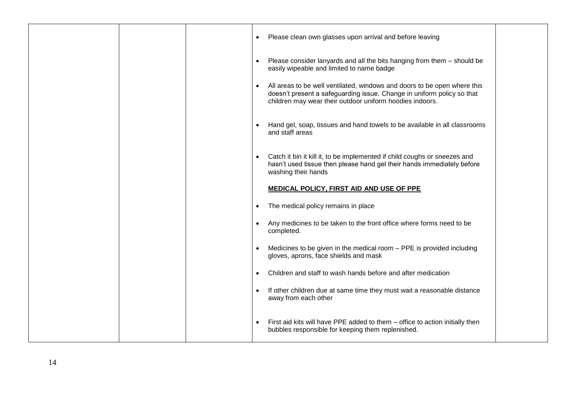|  | $\bullet$ | Please clean own glasses upon arrival and before leaving                                                                                                                                                       |  |
|--|-----------|----------------------------------------------------------------------------------------------------------------------------------------------------------------------------------------------------------------|--|
|  |           | Please consider lanyards and all the bits hanging from them - should be<br>easily wipeable and limited to name badge                                                                                           |  |
|  |           | All areas to be well ventilated, windows and doors to be open where this<br>doesn't present a safeguarding issue. Change in uniform policy so that<br>children may wear their outdoor uniform hoodies indoors. |  |
|  |           | Hand gel, soap, tissues and hand towels to be available in all classrooms<br>and staff areas                                                                                                                   |  |
|  |           | Catch it bin it kill it, to be implemented if child coughs or sneezes and<br>hasn't used tissue then please hand gel their hands immediately before<br>washing their hands                                     |  |
|  |           | MEDICAL POLICY, FIRST AID AND USE OF PPE                                                                                                                                                                       |  |
|  | $\bullet$ | The medical policy remains in place                                                                                                                                                                            |  |
|  |           | Any medicines to be taken to the front office where forms need to be<br>completed.                                                                                                                             |  |
|  |           | Medicines to be given in the medical room - PPE is provided including<br>gloves, aprons, face shields and mask                                                                                                 |  |
|  |           | Children and staff to wash hands before and after medication                                                                                                                                                   |  |
|  |           | If other children due at same time they must wait a reasonable distance<br>away from each other                                                                                                                |  |
|  |           | First aid kits will have PPE added to them - office to action initially then<br>bubbles responsible for keeping them replenished.                                                                              |  |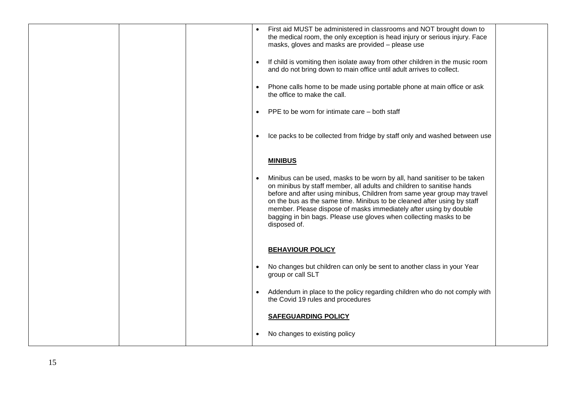|  | First aid MUST be administered in classrooms and NOT brought down to<br>the medical room, the only exception is head injury or serious injury. Face<br>masks, gloves and masks are provided - please use                                                                                                                                                                                                                                                            |
|--|---------------------------------------------------------------------------------------------------------------------------------------------------------------------------------------------------------------------------------------------------------------------------------------------------------------------------------------------------------------------------------------------------------------------------------------------------------------------|
|  | If child is vomiting then isolate away from other children in the music room<br>$\bullet$<br>and do not bring down to main office until adult arrives to collect.                                                                                                                                                                                                                                                                                                   |
|  | Phone calls home to be made using portable phone at main office or ask<br>the office to make the call.                                                                                                                                                                                                                                                                                                                                                              |
|  | PPE to be worn for intimate care – both staff<br>$\bullet$                                                                                                                                                                                                                                                                                                                                                                                                          |
|  | Ice packs to be collected from fridge by staff only and washed between use                                                                                                                                                                                                                                                                                                                                                                                          |
|  | <b>MINIBUS</b>                                                                                                                                                                                                                                                                                                                                                                                                                                                      |
|  | Minibus can be used, masks to be worn by all, hand sanitiser to be taken<br>on minibus by staff member, all adults and children to sanitise hands<br>before and after using minibus, Children from same year group may travel<br>on the bus as the same time. Minibus to be cleaned after using by staff<br>member. Please dispose of masks immediately after using by double<br>bagging in bin bags. Please use gloves when collecting masks to be<br>disposed of. |
|  | <b>BEHAVIOUR POLICY</b>                                                                                                                                                                                                                                                                                                                                                                                                                                             |
|  | No changes but children can only be sent to another class in your Year<br>group or call SLT                                                                                                                                                                                                                                                                                                                                                                         |
|  | Addendum in place to the policy regarding children who do not comply with<br>the Covid 19 rules and procedures                                                                                                                                                                                                                                                                                                                                                      |
|  | <b>SAFEGUARDING POLICY</b>                                                                                                                                                                                                                                                                                                                                                                                                                                          |
|  | No changes to existing policy                                                                                                                                                                                                                                                                                                                                                                                                                                       |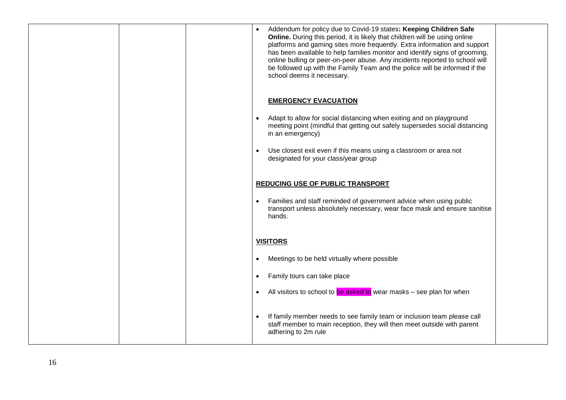|  | Addendum for policy due to Covid-19 states: Keeping Children Safe<br>Online. During this period, it is likely that children will be using online<br>platforms and gaming sites more frequently. Extra information and support<br>has been available to help families monitor and identify signs of grooming,<br>online bulling or peer-on-peer abuse. Any incidents reported to school will<br>be followed up with the Family Team and the police will be informed if the<br>school deems it necessary. |  |
|--|---------------------------------------------------------------------------------------------------------------------------------------------------------------------------------------------------------------------------------------------------------------------------------------------------------------------------------------------------------------------------------------------------------------------------------------------------------------------------------------------------------|--|
|  | <b>EMERGENCY EVACUATION</b><br>Adapt to allow for social distancing when exiting and on playground<br>meeting point (mindful that getting out safely supersedes social distancing<br>in an emergency)<br>Use closest exit even if this means using a classroom or area not<br>designated for your class/year group                                                                                                                                                                                      |  |
|  | <b>REDUCING USE OF PUBLIC TRANSPORT</b><br>Families and staff reminded of government advice when using public<br>$\bullet$<br>transport unless absolutely necessary, wear face mask and ensure sanitise<br>hands.                                                                                                                                                                                                                                                                                       |  |
|  | <b>VISITORS</b><br>Meetings to be held virtually where possible<br>$\bullet$<br>Family tours can take place<br>$\bullet$<br>All visitors to school to be asked to wear masks - see plan for when<br>$\bullet$                                                                                                                                                                                                                                                                                           |  |
|  | If family member needs to see family team or inclusion team please call<br>staff member to main reception, they will then meet outside with parent<br>adhering to 2m rule                                                                                                                                                                                                                                                                                                                               |  |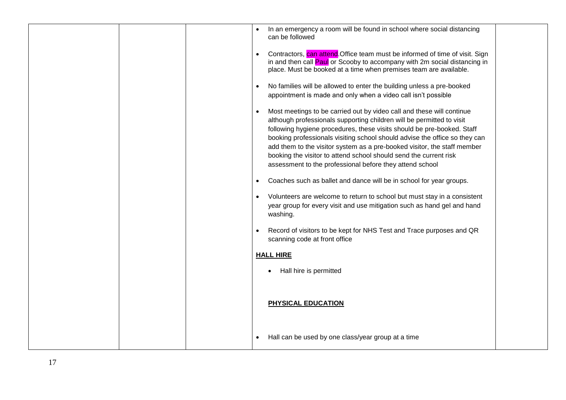| In an emergency a room will be found in school where social distancing<br>can be followed                                                                                                                                                                                                                                                                                                                                                                                                                           |
|---------------------------------------------------------------------------------------------------------------------------------------------------------------------------------------------------------------------------------------------------------------------------------------------------------------------------------------------------------------------------------------------------------------------------------------------------------------------------------------------------------------------|
| Contractors, can attend Office team must be informed of time of visit. Sign<br>in and then call Paul or Scooby to accompany with 2m social distancing in<br>place. Must be booked at a time when premises team are available.                                                                                                                                                                                                                                                                                       |
| No families will be allowed to enter the building unless a pre-booked<br>appointment is made and only when a video call isn't possible                                                                                                                                                                                                                                                                                                                                                                              |
| Most meetings to be carried out by video call and these will continue<br>although professionals supporting children will be permitted to visit<br>following hygiene procedures, these visits should be pre-booked. Staff<br>booking professionals visiting school should advise the office so they can<br>add them to the visitor system as a pre-booked visitor, the staff member<br>booking the visitor to attend school should send the current risk<br>assessment to the professional before they attend school |
| Coaches such as ballet and dance will be in school for year groups.                                                                                                                                                                                                                                                                                                                                                                                                                                                 |
| Volunteers are welcome to return to school but must stay in a consistent<br>year group for every visit and use mitigation such as hand gel and hand<br>washing.                                                                                                                                                                                                                                                                                                                                                     |
| Record of visitors to be kept for NHS Test and Trace purposes and QR<br>scanning code at front office                                                                                                                                                                                                                                                                                                                                                                                                               |
| <b>HALL HIRE</b>                                                                                                                                                                                                                                                                                                                                                                                                                                                                                                    |
| Hall hire is permitted                                                                                                                                                                                                                                                                                                                                                                                                                                                                                              |
| <b>PHYSICAL EDUCATION</b>                                                                                                                                                                                                                                                                                                                                                                                                                                                                                           |
| Hall can be used by one class/year group at a time                                                                                                                                                                                                                                                                                                                                                                                                                                                                  |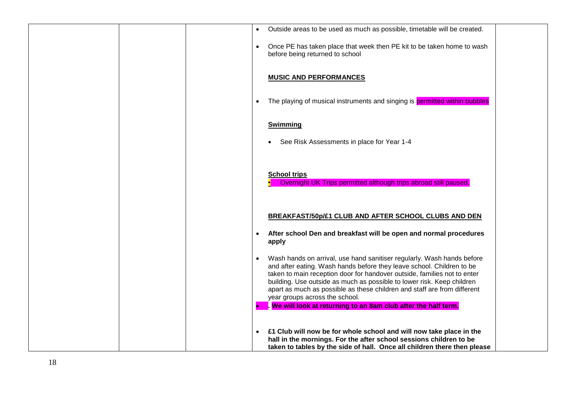| Outside areas to be used as much as possible, timetable will be created.<br>$\bullet$                                                                                                                                                                                                                                                                                                                                            |
|----------------------------------------------------------------------------------------------------------------------------------------------------------------------------------------------------------------------------------------------------------------------------------------------------------------------------------------------------------------------------------------------------------------------------------|
| Once PE has taken place that week then PE kit to be taken home to wash<br>$\bullet$<br>before being returned to school                                                                                                                                                                                                                                                                                                           |
| <b>MUSIC AND PERFORMANCES</b>                                                                                                                                                                                                                                                                                                                                                                                                    |
| The playing of musical instruments and singing is permitted within bubbles<br>$\bullet$                                                                                                                                                                                                                                                                                                                                          |
| <b>Swimming</b>                                                                                                                                                                                                                                                                                                                                                                                                                  |
| See Risk Assessments in place for Year 1-4                                                                                                                                                                                                                                                                                                                                                                                       |
| <b>School trips</b><br>Overnight UK Trips permitted although trips abroad still paused.                                                                                                                                                                                                                                                                                                                                          |
| BREAKFAST/50p/£1 CLUB AND AFTER SCHOOL CLUBS AND DEN                                                                                                                                                                                                                                                                                                                                                                             |
| After school Den and breakfast will be open and normal procedures<br>$\bullet$<br>apply                                                                                                                                                                                                                                                                                                                                          |
| Wash hands on arrival, use hand sanitiser regularly. Wash hands before<br>$\bullet$<br>and after eating. Wash hands before they leave school. Children to be<br>taken to main reception door for handover outside, families not to enter<br>building. Use outside as much as possible to lower risk. Keep children<br>apart as much as possible as these children and staff are from different<br>year groups across the school. |
| We will look at returning to an 8am club after the half term.<br>b                                                                                                                                                                                                                                                                                                                                                               |
| £1 Club will now be for whole school and will now take place in the<br>$\bullet$<br>hall in the mornings. For the after school sessions children to be<br>taken to tables by the side of hall. Once all children there then please                                                                                                                                                                                               |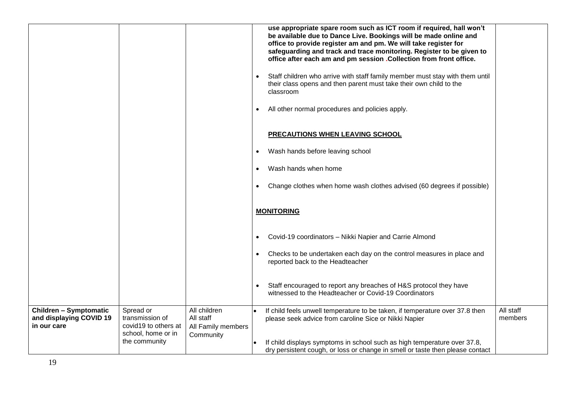|                                                                         |                                                      |                                                 | use appropriate spare room such as ICT room if required, hall won't<br>be available due to Dance Live. Bookings will be made online and<br>office to provide register am and pm. We will take register for<br>safeguarding and track and trace monitoring. Register to be given to<br>office after each am and pm session .Collection from front office. |  |
|-------------------------------------------------------------------------|------------------------------------------------------|-------------------------------------------------|----------------------------------------------------------------------------------------------------------------------------------------------------------------------------------------------------------------------------------------------------------------------------------------------------------------------------------------------------------|--|
|                                                                         |                                                      |                                                 | Staff children who arrive with staff family member must stay with them until<br>$\bullet$<br>their class opens and then parent must take their own child to the<br>classroom                                                                                                                                                                             |  |
|                                                                         |                                                      |                                                 | All other normal procedures and policies apply.                                                                                                                                                                                                                                                                                                          |  |
|                                                                         |                                                      |                                                 | <b>PRECAUTIONS WHEN LEAVING SCHOOL</b>                                                                                                                                                                                                                                                                                                                   |  |
|                                                                         |                                                      |                                                 | Wash hands before leaving school<br>$\bullet$                                                                                                                                                                                                                                                                                                            |  |
|                                                                         |                                                      |                                                 | Wash hands when home<br>$\bullet$                                                                                                                                                                                                                                                                                                                        |  |
|                                                                         |                                                      |                                                 | Change clothes when home wash clothes advised (60 degrees if possible)<br>$\bullet$                                                                                                                                                                                                                                                                      |  |
|                                                                         |                                                      |                                                 | <b>MONITORING</b>                                                                                                                                                                                                                                                                                                                                        |  |
|                                                                         |                                                      |                                                 | Covid-19 coordinators - Nikki Napier and Carrie Almond                                                                                                                                                                                                                                                                                                   |  |
|                                                                         |                                                      |                                                 | Checks to be undertaken each day on the control measures in place and<br>$\bullet$<br>reported back to the Headteacher                                                                                                                                                                                                                                   |  |
|                                                                         |                                                      |                                                 | Staff encouraged to report any breaches of H&S protocol they have<br>witnessed to the Headteacher or Covid-19 Coordinators                                                                                                                                                                                                                               |  |
| <b>Children - Symptomatic</b><br>and displaying COVID 19<br>in our care | Spread or<br>transmission of<br>covid19 to others at | All children<br>All staff<br>All Family members | All staff<br>If child feels unwell temperature to be taken, if temperature over 37.8 then<br>members<br>please seek advice from caroline Sice or Nikki Napier                                                                                                                                                                                            |  |
|                                                                         | school, home or in<br>the community                  | Community                                       | If child displays symptoms in school such as high temperature over 37.8,<br>dry persistent cough, or loss or change in smell or taste then please contact                                                                                                                                                                                                |  |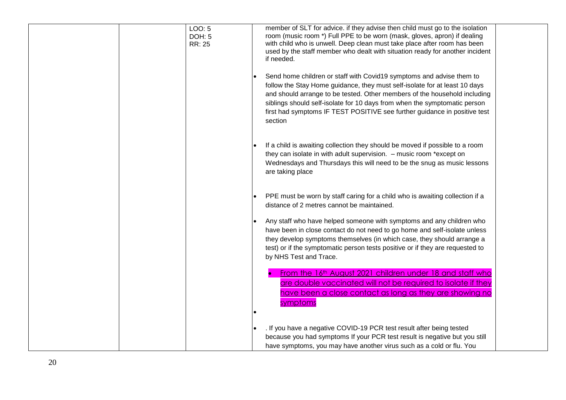| LOO: 5<br><b>DOH: 5</b><br>RR: 25 | member of SLT for advice. if they advise then child must go to the isolation<br>room (music room *) Full PPE to be worn (mask, gloves, apron) if dealing<br>with child who is unwell. Deep clean must take place after room has been<br>used by the staff member who dealt with situation ready for another incident<br>if needed.                                                                   |
|-----------------------------------|------------------------------------------------------------------------------------------------------------------------------------------------------------------------------------------------------------------------------------------------------------------------------------------------------------------------------------------------------------------------------------------------------|
|                                   | Send home children or staff with Covid19 symptoms and advise them to<br>follow the Stay Home guidance, they must self-isolate for at least 10 days<br>and should arrange to be tested. Other members of the household including<br>siblings should self-isolate for 10 days from when the symptomatic person<br>first had symptoms IF TEST POSITIVE see further guidance in positive test<br>section |
|                                   | If a child is awaiting collection they should be moved if possible to a room<br>they can isolate in with adult supervision. - music room *except on<br>Wednesdays and Thursdays this will need to be the snug as music lessons<br>are taking place                                                                                                                                                   |
|                                   | PPE must be worn by staff caring for a child who is awaiting collection if a<br>distance of 2 metres cannot be maintained.                                                                                                                                                                                                                                                                           |
|                                   | Any staff who have helped someone with symptoms and any children who<br>have been in close contact do not need to go home and self-isolate unless<br>they develop symptoms themselves (in which case, they should arrange a<br>test) or if the symptomatic person tests positive or if they are requested to<br>by NHS Test and Trace.                                                               |
|                                   | From the 16th August 2021 children under 18 and staff who<br>are double vaccinated will not be required to isolate if they<br>have been a close contact as long as they are showing no<br>symptoms                                                                                                                                                                                                   |
|                                   | . If you have a negative COVID-19 PCR test result after being tested<br>because you had symptoms If your PCR test result is negative but you still<br>have symptoms, you may have another virus such as a cold or flu. You                                                                                                                                                                           |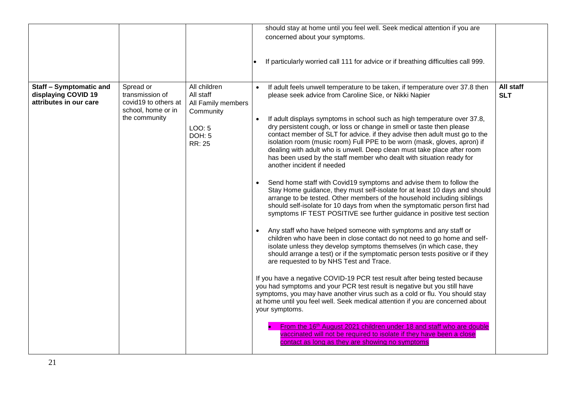|                                                                                 |                                                                                             |                                                                                                          |           | should stay at home until you feel well. Seek medical attention if you are                                                                                                                                                                                                                                                                                                                                                                                                                                                                                                                                                                                                                                                                                                                                                                                                                                                                                                                                                                                                                                                                                                                                                                                                                                                                                                                                                                                                                                                                                                                                                                                                                                                       |                         |
|---------------------------------------------------------------------------------|---------------------------------------------------------------------------------------------|----------------------------------------------------------------------------------------------------------|-----------|----------------------------------------------------------------------------------------------------------------------------------------------------------------------------------------------------------------------------------------------------------------------------------------------------------------------------------------------------------------------------------------------------------------------------------------------------------------------------------------------------------------------------------------------------------------------------------------------------------------------------------------------------------------------------------------------------------------------------------------------------------------------------------------------------------------------------------------------------------------------------------------------------------------------------------------------------------------------------------------------------------------------------------------------------------------------------------------------------------------------------------------------------------------------------------------------------------------------------------------------------------------------------------------------------------------------------------------------------------------------------------------------------------------------------------------------------------------------------------------------------------------------------------------------------------------------------------------------------------------------------------------------------------------------------------------------------------------------------------|-------------------------|
|                                                                                 |                                                                                             |                                                                                                          |           | concerned about your symptoms.                                                                                                                                                                                                                                                                                                                                                                                                                                                                                                                                                                                                                                                                                                                                                                                                                                                                                                                                                                                                                                                                                                                                                                                                                                                                                                                                                                                                                                                                                                                                                                                                                                                                                                   |                         |
|                                                                                 |                                                                                             |                                                                                                          |           | If particularly worried call 111 for advice or if breathing difficulties call 999.                                                                                                                                                                                                                                                                                                                                                                                                                                                                                                                                                                                                                                                                                                                                                                                                                                                                                                                                                                                                                                                                                                                                                                                                                                                                                                                                                                                                                                                                                                                                                                                                                                               |                         |
| <b>Staff - Symptomatic and</b><br>displaying COVID 19<br>attributes in our care | Spread or<br>transmission of<br>covid19 to others at<br>school, home or in<br>the community | All children<br>All staff<br>All Family members<br>Community<br>LOO: 5<br><b>DOH: 5</b><br><b>RR: 25</b> | $\bullet$ | If adult feels unwell temperature to be taken, if temperature over 37.8 then<br>please seek advice from Caroline Sice, or Nikki Napier<br>If adult displays symptoms in school such as high temperature over 37.8,<br>dry persistent cough, or loss or change in smell or taste then please<br>contact member of SLT for advice. if they advise then adult must go to the<br>isolation room (music room) Full PPE to be worn (mask, gloves, apron) if<br>dealing with adult who is unwell. Deep clean must take place after room<br>has been used by the staff member who dealt with situation ready for<br>another incident if needed<br>Send home staff with Covid19 symptoms and advise them to follow the<br>Stay Home guidance, they must self-isolate for at least 10 days and should<br>arrange to be tested. Other members of the household including siblings<br>should self-isolate for 10 days from when the symptomatic person first had<br>symptoms IF TEST POSITIVE see further guidance in positive test section<br>Any staff who have helped someone with symptoms and any staff or<br>children who have been in close contact do not need to go home and self-<br>isolate unless they develop symptoms themselves (in which case, they<br>should arrange a test) or if the symptomatic person tests positive or if they<br>are requested to by NHS Test and Trace.<br>If you have a negative COVID-19 PCR test result after being tested because<br>you had symptoms and your PCR test result is negative but you still have<br>symptoms, you may have another virus such as a cold or flu. You should stay<br>at home until you feel well. Seek medical attention if you are concerned about<br>your symptoms. | All staff<br><b>SLT</b> |
|                                                                                 |                                                                                             |                                                                                                          |           | From the 16th August 2021 children under 18 and staff who are double<br>vaccinated will not be required to isolate if they have been a close<br>contact as long as they are showing no symptoms                                                                                                                                                                                                                                                                                                                                                                                                                                                                                                                                                                                                                                                                                                                                                                                                                                                                                                                                                                                                                                                                                                                                                                                                                                                                                                                                                                                                                                                                                                                                  |                         |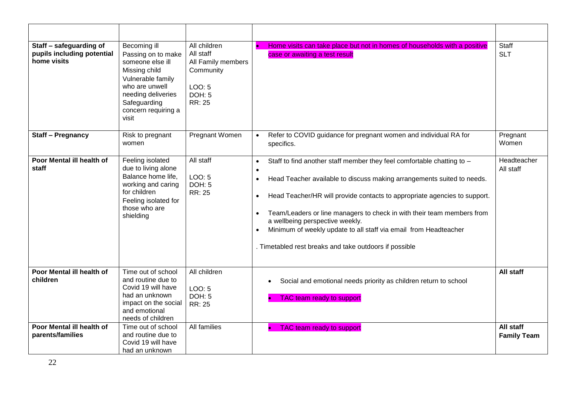| Staff - safeguarding of<br>pupils including potential<br>home visits | Becoming ill<br>Passing on to make<br>someone else ill<br>Missing child<br>Vulnerable family<br>who are unwell<br>needing deliveries<br>Safeguarding<br>concern requiring a<br>visit | All children<br>All staff<br>All Family members<br>Community<br>LOO: 5<br>DOH: 5<br>RR: 25 | Home visits can take place but not in homes of households with a positive<br>case or awaiting a test result                                                                                                                                                                                                                                                                                                                                                                                                                               | Staff<br><b>SLT</b>             |
|----------------------------------------------------------------------|--------------------------------------------------------------------------------------------------------------------------------------------------------------------------------------|--------------------------------------------------------------------------------------------|-------------------------------------------------------------------------------------------------------------------------------------------------------------------------------------------------------------------------------------------------------------------------------------------------------------------------------------------------------------------------------------------------------------------------------------------------------------------------------------------------------------------------------------------|---------------------------------|
| <b>Staff - Pregnancy</b>                                             | Risk to pregnant<br>women                                                                                                                                                            | Pregnant Women                                                                             | Refer to COVID guidance for pregnant women and individual RA for<br>specifics.                                                                                                                                                                                                                                                                                                                                                                                                                                                            | Pregnant<br>Women               |
| Poor Mental ill health of<br>staff                                   | Feeling isolated<br>due to living alone<br>Balance home life,<br>working and caring<br>for children<br>Feeling isolated for<br>those who are<br>shielding                            | All staff<br>LOO: 5<br><b>DOH: 5</b><br>RR: 25                                             | Staff to find another staff member they feel comfortable chatting to -<br>$\bullet$<br>$\bullet$<br>Head Teacher available to discuss making arrangements suited to needs.<br>$\bullet$<br>Head Teacher/HR will provide contacts to appropriate agencies to support.<br>$\bullet$<br>Team/Leaders or line managers to check in with their team members from<br>a wellbeing perspective weekly.<br>Minimum of weekly update to all staff via email from Headteacher<br>$\bullet$<br>. Timetabled rest breaks and take outdoors if possible | Headteacher<br>All staff        |
| Poor Mental ill health of<br>children                                | Time out of school<br>and routine due to<br>Covid 19 will have<br>had an unknown<br>impact on the social<br>and emotional<br>needs of children                                       | All children<br>LOO: 5<br><b>DOH: 5</b><br>RR: 25                                          | Social and emotional needs priority as children return to school<br>$\bullet$<br>TAC team ready to support                                                                                                                                                                                                                                                                                                                                                                                                                                | All staff                       |
| Poor Mental ill health of<br>parents/families                        | Time out of school<br>and routine due to<br>Covid 19 will have<br>had an unknown                                                                                                     | All families                                                                               | TAC team ready to support                                                                                                                                                                                                                                                                                                                                                                                                                                                                                                                 | All staff<br><b>Family Team</b> |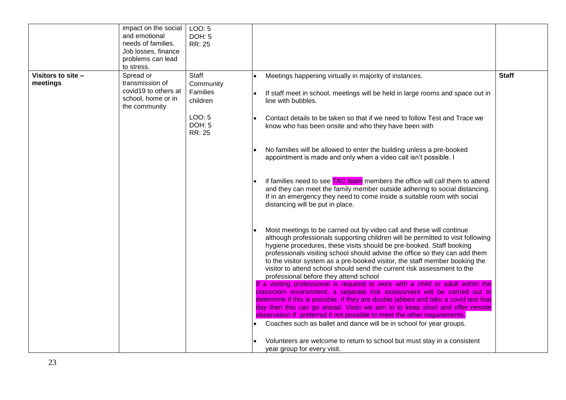|                                | impact on the social<br>and emotional<br>needs of families.<br>Job losses, finance          | LOO: 5<br><b>DOH: 5</b><br>RR: 25          |                                                                                                                                                                                                                                                                                                                                                                                                                                                                                                                     |              |
|--------------------------------|---------------------------------------------------------------------------------------------|--------------------------------------------|---------------------------------------------------------------------------------------------------------------------------------------------------------------------------------------------------------------------------------------------------------------------------------------------------------------------------------------------------------------------------------------------------------------------------------------------------------------------------------------------------------------------|--------------|
|                                | problems can lead<br>to stress.                                                             |                                            |                                                                                                                                                                                                                                                                                                                                                                                                                                                                                                                     |              |
| Visitors to site -<br>meetings | Spread or<br>transmission of<br>covid19 to others at<br>school, home or in<br>the community | Staff<br>Community<br>Families<br>children | Meetings happening virtually in majority of instances.<br>If staff meet in school, meetings will be held in large rooms and space out in<br>line with bubbles.                                                                                                                                                                                                                                                                                                                                                      | <b>Staff</b> |
|                                |                                                                                             | LOO: 5<br>DOH: 5<br>RR: 25                 | Contact details to be taken so that if we need to follow Test and Trace we<br>know who has been onsite and who they have been with                                                                                                                                                                                                                                                                                                                                                                                  |              |
|                                |                                                                                             |                                            | No families will be allowed to enter the building unless a pre-booked<br>appointment is made and only when a video call isn't possible. I                                                                                                                                                                                                                                                                                                                                                                           |              |
|                                |                                                                                             |                                            | if families need to see TAC team members the office will call them to attend<br>and they can meet the family member outside adhering to social distancing.<br>If in an emergency they need to come inside a suitable room with social<br>distancing will be put in place.                                                                                                                                                                                                                                           |              |
|                                |                                                                                             |                                            | Most meetings to be carried out by video call and these will continue<br>although professionals supporting children will be permitted to visit following<br>hygiene procedures, these visits should be pre-booked. Staff booking<br>professionals visiting school should advise the office so they can add them<br>to the visitor system as a pre-booked visitor, the staff member booking the<br>visitor to attend school should send the current risk assessment to the<br>professional before they attend school |              |
|                                |                                                                                             |                                            | If a visiting professional is required to work with a child or adult within the<br>classroom environment, a separate risk assessment will be carried out to<br>determine if this is possible. If they are double jabbed and take a covid test that<br>day then this can go ahead. Visits we aim to to keep short and offer remote<br>observation if preferred if not possible to meet the other requirements.<br>Coaches such as ballet and dance will be in school for year groups.                                |              |
|                                |                                                                                             |                                            | Volunteers are welcome to return to school but must stay in a consistent<br>year group for every visit.                                                                                                                                                                                                                                                                                                                                                                                                             |              |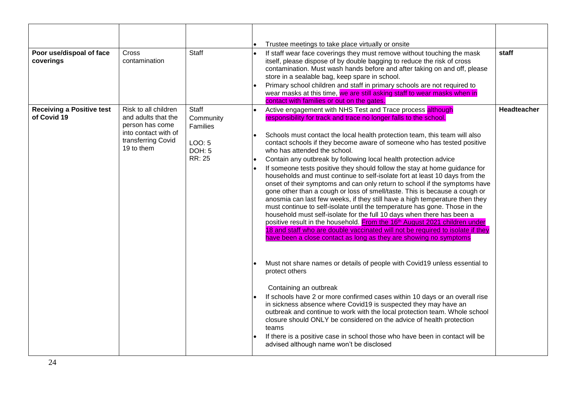|                                                 |                                                                                                                            |                                                                            | Trustee meetings to take place virtually or onsite                                                                                                                                                                                                                                                                                                                                                                                                                                                                                                                                                                                                                                                                                                                                                                                                                                                                                                                                                                                                                                                                                                                                                                                                                                                                                                                                                                                                                                                                                                                                                                                                                                                                                                                                   |                    |
|-------------------------------------------------|----------------------------------------------------------------------------------------------------------------------------|----------------------------------------------------------------------------|--------------------------------------------------------------------------------------------------------------------------------------------------------------------------------------------------------------------------------------------------------------------------------------------------------------------------------------------------------------------------------------------------------------------------------------------------------------------------------------------------------------------------------------------------------------------------------------------------------------------------------------------------------------------------------------------------------------------------------------------------------------------------------------------------------------------------------------------------------------------------------------------------------------------------------------------------------------------------------------------------------------------------------------------------------------------------------------------------------------------------------------------------------------------------------------------------------------------------------------------------------------------------------------------------------------------------------------------------------------------------------------------------------------------------------------------------------------------------------------------------------------------------------------------------------------------------------------------------------------------------------------------------------------------------------------------------------------------------------------------------------------------------------------|--------------------|
| Poor use/dispoal of face<br>coverings           | Cross<br>contamination                                                                                                     | <b>Staff</b>                                                               | If staff wear face coverings they must remove without touching the mask<br>$\bullet$<br>itself, please dispose of by double bagging to reduce the risk of cross<br>contamination. Must wash hands before and after taking on and off, please<br>store in a sealable bag, keep spare in school.<br>Primary school children and staff in primary schools are not required to<br>wear masks at this time, we are still asking staff to wear masks when in<br>contact with families or out on the gates.                                                                                                                                                                                                                                                                                                                                                                                                                                                                                                                                                                                                                                                                                                                                                                                                                                                                                                                                                                                                                                                                                                                                                                                                                                                                                 | staff              |
| <b>Receiving a Positive test</b><br>of Covid 19 | Risk to all children<br>and adults that the<br>person has come<br>into contact with of<br>transferring Covid<br>19 to them | Staff<br>Community<br>Families<br>LOO: 5<br><b>DOH: 5</b><br><b>RR: 25</b> | Active engagement with NHS Test and Trace process although<br>responsibility for track and trace no longer falls to the school.<br>Schools must contact the local health protection team, this team will also<br>contact schools if they become aware of someone who has tested positive<br>who has attended the school.<br>Contain any outbreak by following local health protection advice<br>I۰<br>If someone tests positive they should follow the stay at home guidance for<br>I۰<br>households and must continue to self-isolate fort at least 10 days from the<br>onset of their symptoms and can only return to school if the symptoms have<br>gone other than a cough or loss of smell/taste. This is because a cough or<br>anosmia can last few weeks, if they still have a high temperature then they<br>must continue to self-isolate until the temperature has gone. Those in the<br>household must self-isolate for the full 10 days when there has been a<br>positive result in the household. From the 16th August 2021 children under<br>18 and staff who are double vaccinated will not be required to isolate if they<br>have been a close contact as long as they are showing no symptoms<br>Must not share names or details of people with Covid19 unless essential to<br>protect others<br>Containing an outbreak<br>If schools have 2 or more confirmed cases within 10 days or an overall rise<br>in sickness absence where Covid19 is suspected they may have an<br>outbreak and continue to work with the local protection team. Whole school<br>closure should ONLY be considered on the advice of health protection<br>teams<br>If there is a positive case in school those who have been in contact will be<br>advised although name won't be disclosed | <b>Headteacher</b> |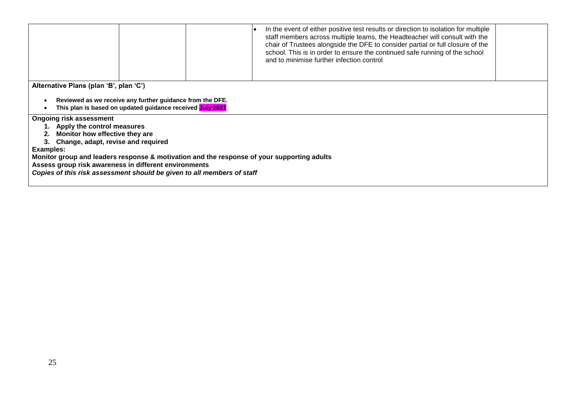|                                                                                                                                                     | In the event of either positive test results or direction to isolation for multiple<br>staff members across multiple teams, the Headteacher will consult with the<br>chair of Trustees alongside the DFE to consider partial or full closure of the<br>school. This is in order to ensure the continued safe running of the school<br>and to minimise further infection control |  |
|-----------------------------------------------------------------------------------------------------------------------------------------------------|---------------------------------------------------------------------------------------------------------------------------------------------------------------------------------------------------------------------------------------------------------------------------------------------------------------------------------------------------------------------------------|--|
| Alternative Plans (plan 'B', plan 'C')<br>Reviewed as we receive any further guidance from the DFE.                                                 |                                                                                                                                                                                                                                                                                                                                                                                 |  |
| This plan is based on updated guidance received July 2021                                                                                           |                                                                                                                                                                                                                                                                                                                                                                                 |  |
| <b>Ongoing risk assessment</b><br>1. Apply the control measures                                                                                     |                                                                                                                                                                                                                                                                                                                                                                                 |  |
| 2. Monitor how effective they are<br>3. Change, adapt, revise and required                                                                          |                                                                                                                                                                                                                                                                                                                                                                                 |  |
| Examples:                                                                                                                                           |                                                                                                                                                                                                                                                                                                                                                                                 |  |
| Monitor group and leaders response & motivation and the response of your supporting adults<br>Assess group risk awareness in different environments |                                                                                                                                                                                                                                                                                                                                                                                 |  |
| Copies of this risk assessment should be given to all members of staff                                                                              |                                                                                                                                                                                                                                                                                                                                                                                 |  |
|                                                                                                                                                     |                                                                                                                                                                                                                                                                                                                                                                                 |  |